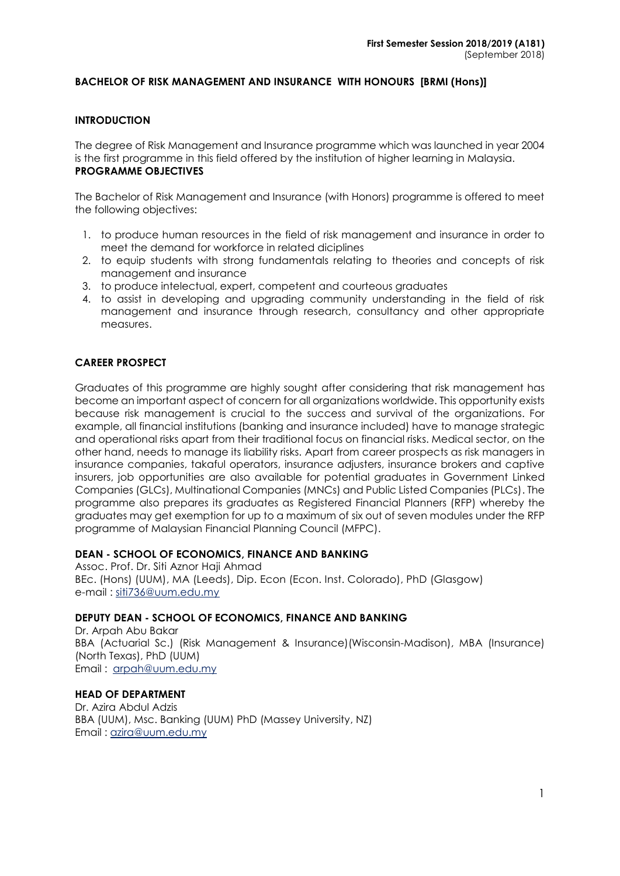#### **BACHELOR OF RISK MANAGEMENT AND INSURANCE WITH HONOURS [BRMI (Hons)]**

#### **INTRODUCTION**

The degree of Risk Management and Insurance programme which was launched in year 2004 is the first programme in this field offered by the institution of higher learning in Malaysia. **PROGRAMME OBJECTIVES**

The Bachelor of Risk Management and Insurance (with Honors) programme is offered to meet the following objectives:

- 1. to produce human resources in the field of risk management and insurance in order to meet the demand for workforce in related diciplines
- 2. to equip students with strong fundamentals relating to theories and concepts of risk management and insurance
- 3. to produce intelectual, expert, competent and courteous graduates
- 4. to assist in developing and upgrading community understanding in the field of risk management and insurance through research, consultancy and other appropriate measures.

#### **CAREER PROSPECT**

Graduates of this programme are highly sought after considering that risk management has become an important aspect of concern for all organizations worldwide. This opportunity exists because risk management is crucial to the success and survival of the organizations. For example, all financial institutions (banking and insurance included) have to manage strategic and operational risks apart from their traditional focus on financial risks. Medical sector, on the other hand, needs to manage its liability risks. Apart from career prospects as risk managers in insurance companies, takaful operators, insurance adjusters, insurance brokers and captive insurers, job opportunities are also available for potential graduates in Government Linked Companies (GLCs), Multinational Companies (MNCs) and Public Listed Companies (PLCs). The programme also prepares its graduates as Registered Financial Planners (RFP) whereby the graduates may get exemption for up to a maximum of six out of seven modules under the RFP programme of Malaysian Financial Planning Council (MFPC).

#### **DEAN - SCHOOL OF ECONOMICS, FINANCE AND BANKING**

Assoc. Prof. Dr. Siti Aznor Haji Ahmad BEc. (Hons) (UUM), MA (Leeds), Dip. Econ (Econ. Inst. Colorado), PhD (Glasgow) e-mail : [siti736@uum.edu.my](mailto:siti736@uum.edu.my)

#### **DEPUTY DEAN - SCHOOL OF ECONOMICS, FINANCE AND BANKING**

Dr. Arpah Abu Bakar BBA (Actuarial Sc.) (Risk Management & Insurance)(Wisconsin-Madison), MBA (Insurance) (North Texas), PhD (UUM) Email : [arpah@uum.edu.my](mailto:arpah@uum.edu.my)

# **HEAD OF DEPARTMENT**

Dr. Azira Abdul Adzis BBA (UUM), Msc. Banking (UUM) PhD (Massey University, NZ) Email : [azira@uum.edu.my](mailto:azira@uum.edu.my)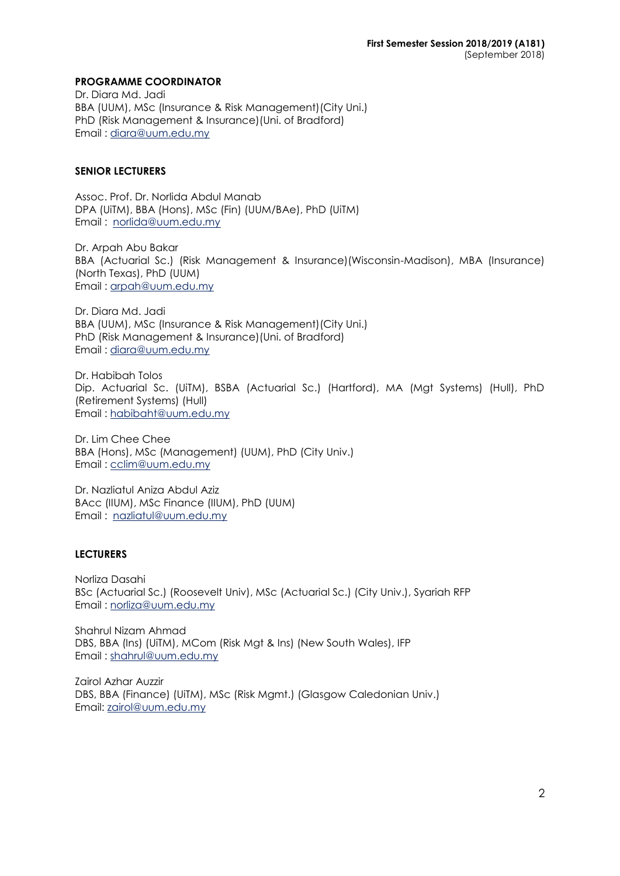#### **PROGRAMME COORDINATOR**

Dr. Diara Md. Jadi BBA (UUM), MSc (Insurance & Risk Management)(City Uni.) PhD (Risk Management & Insurance)(Uni. of Bradford) Email : [diara@uum.edu.my](mailto:diara@uum.edu.my)

#### **SENIOR LECTURERS**

Assoc. Prof. Dr. Norlida Abdul Manab DPA (UiTM), BBA (Hons), MSc (Fin) (UUM/BAe), PhD (UiTM) Email : [norlida@uum.edu.my](mailto:norlida@uum.edu.my)

Dr. Arpah Abu Bakar BBA (Actuarial Sc.) (Risk Management & Insurance)(Wisconsin-Madison), MBA (Insurance) (North Texas), PhD (UUM) Email : [arpah@uum.edu.my](mailto:arpah@uum.edu.my)

Dr. Diara Md. Jadi BBA (UUM), MSc (Insurance & Risk Management)(City Uni.) PhD (Risk Management & Insurance)(Uni. of Bradford) Email : [diara@uum.edu.my](mailto:diara@uum.edu.my)

Dr. Habibah Tolos Dip. Actuarial Sc. (UiTM), BSBA (Actuarial Sc.) (Hartford), MA (Mgt Systems) (Hull), PhD (Retirement Systems) (Hull) Email : [habibaht@uum.edu.my](mailto:habibaht@uum.edu.my)

Dr. Lim Chee Chee BBA (Hons), MSc (Management) (UUM), PhD (City Univ.) Email : [cclim@uum.edu.my](mailto:cclim@uum.edu.my)

Dr. Nazliatul Aniza Abdul Aziz BAcc (IIUM), MSc Finance (IIUM), PhD (UUM) Email: [nazliatul@uum.edu.my](mailto:nazliatul@uum.edu.my)

### **LECTURERS**

Norliza Dasahi BSc (Actuarial Sc.) (Roosevelt Univ), MSc (Actuarial Sc.) (City Univ.), Syariah RFP Email : norliza@uum.edu.my

Shahrul Nizam Ahmad DBS, BBA (Ins) (UiTM), MCom (Risk Mgt & Ins) (New South Wales), IFP Email : shahrul@uum.edu.my

Zairol Azhar Auzzir DBS, BBA (Finance) (UiTM), MSc (Risk Mgmt.) (Glasgow Caledonian Univ.) Email: zairol@uum.edu.my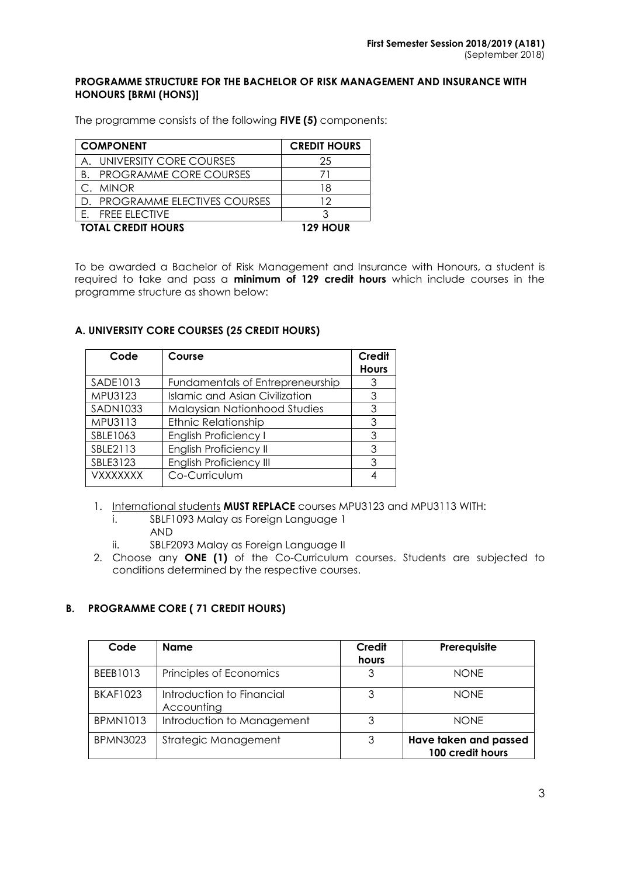#### **PROGRAMME STRUCTURE FOR THE BACHELOR OF RISK MANAGEMENT AND INSURANCE WITH HONOURS [BRMI (HONS)]**

The programme consists of the following **FIVE (5)** components:

| <b>COMPONENT</b>          |                                | <b>CREDIT HOURS</b> |
|---------------------------|--------------------------------|---------------------|
|                           | A. UNIVERSITY CORE COURSES     | 25                  |
| B.                        | <b>PROGRAMME CORE COURSES</b>  |                     |
| C. MINOR                  |                                | 18                  |
|                           | D. PROGRAMME ELECTIVES COURSES | 12                  |
| E. FREE ELECTIVE          |                                |                     |
| <b>TOTAL CREDIT HOURS</b> |                                | <b>129 HOUR</b>     |

To be awarded a Bachelor of Risk Management and Insurance with Honours, a student is required to take and pass a **minimum of 129 credit hours** which include courses in the programme structure as shown below:

### **A. UNIVERSITY CORE COURSES (25 CREDIT HOURS)**

| Code            | Course                                | <b>Credit</b><br><b>Hours</b> |
|-----------------|---------------------------------------|-------------------------------|
| SADE1013        | Fundamentals of Entrepreneurship      |                               |
| MPU3123         | <b>Islamic and Asian Civilization</b> | 3                             |
| <b>SADN1033</b> | Malaysian Nationhood Studies          | 3                             |
| MPU3113         | <b>Ethnic Relationship</b>            | 3                             |
| SBLE1063        | <b>English Proficiency I</b>          | 3                             |
| SBLE2113        | English Proficiency II                | 3                             |
| SBLE3123        | English Proficiency III               | 3                             |
| <b>VXXXXXXX</b> | Co-Curriculum                         |                               |

- 1. International students **MUST REPLACE** courses MPU3123 and MPU3113 WITH:
	- i. SBLF1093 Malay as Foreign Language 1 AND
	- ii. SBLF2093 Malay as Foreign Language II
- 2. Choose any **ONE (1)** of the Co-Curriculum courses. Students are subjected to conditions determined by the respective courses.

## **B. PROGRAMME CORE ( 71 CREDIT HOURS)**

| Code            | <b>Name</b>                             | Credit<br>hours | Prerequisite                              |
|-----------------|-----------------------------------------|-----------------|-------------------------------------------|
| BEEB1013        | Principles of Economics                 | 3               | <b>NONE</b>                               |
| <b>BKAF1023</b> | Introduction to Financial<br>Accounting | 3               | <b>NONF</b>                               |
| <b>BPMN1013</b> | Introduction to Management              | 3               | <b>NONE</b>                               |
| <b>BPMN3023</b> | Strategic Management                    | 3               | Have taken and passed<br>100 credit hours |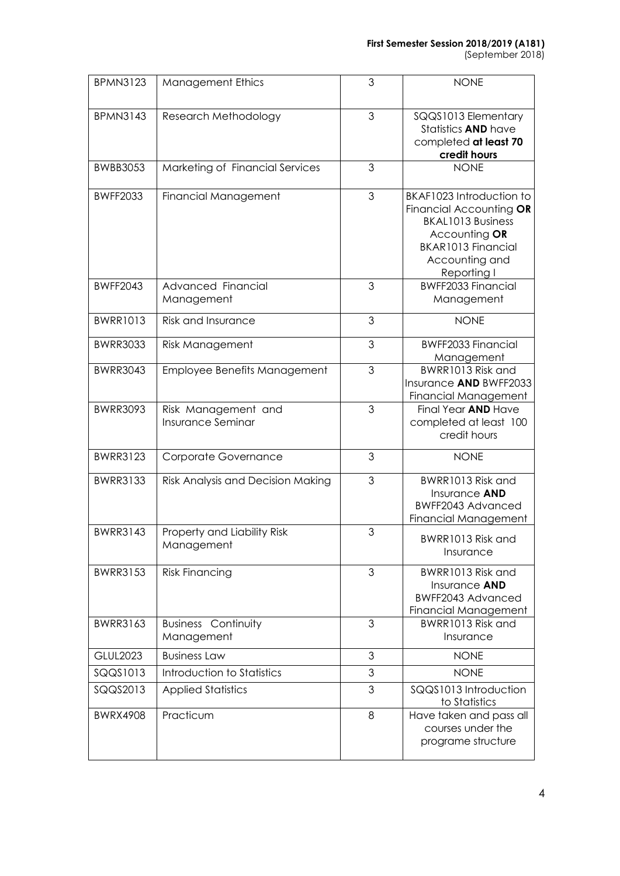#### **First Semester Session 2018/2019 (A181)**

(September 2018)

| <b>BPMN3123</b> | <b>Management Ethics</b>                        | 3 | <b>NONE</b>                                                                                                                                             |
|-----------------|-------------------------------------------------|---|---------------------------------------------------------------------------------------------------------------------------------------------------------|
| <b>BPMN3143</b> | Research Methodology                            | 3 | SQQS1013 Elementary<br>Statistics AND have<br>completed at least 70<br>credit hours                                                                     |
| <b>BWBB3053</b> | Marketing of Financial Services                 | 3 | <b>NONE</b>                                                                                                                                             |
| <b>BWFF2033</b> | Financial Management                            | 3 | BKAF1023 Introduction to<br>Financial Accounting OR<br><b>BKAL1013 Business</b><br>Accounting OR<br>BKAR1013 Financial<br>Accounting and<br>Reporting I |
| <b>BWFF2043</b> | Advanced Financial<br>Management                | 3 | <b>BWFF2033 Financial</b><br>Management                                                                                                                 |
| <b>BWRR1013</b> | <b>Risk and Insurance</b>                       | 3 | <b>NONE</b>                                                                                                                                             |
| <b>BWRR3033</b> | Risk Management                                 | 3 | <b>BWFF2033 Financial</b><br>Management                                                                                                                 |
| <b>BWRR3043</b> | <b>Employee Benefits Management</b>             | 3 | BWRR1013 Risk and<br>Insurance AND BWFF2033<br><b>Financial Management</b>                                                                              |
| <b>BWRR3093</b> | Risk Management and<br><b>Insurance Seminar</b> | 3 | Final Year AND Have<br>completed at least 100<br>credit hours                                                                                           |
| <b>BWRR3123</b> | Corporate Governance                            | 3 | <b>NONE</b>                                                                                                                                             |
| <b>BWRR3133</b> | Risk Analysis and Decision Making               | 3 | BWRR1013 Risk and<br>Insurance <b>AND</b><br>BWFF2043 Advanced<br><b>Financial Management</b>                                                           |
| <b>BWRR3143</b> | Property and Liability Risk<br>Management       | 3 | BWRR1013 Risk and<br>Insurance                                                                                                                          |
| <b>BWRR3153</b> | <b>Risk Financing</b>                           | 3 | BWRR1013 Risk and<br>Insurance AND<br>BWFF2043 Advanced<br><b>Financial Management</b>                                                                  |
| <b>BWRR3163</b> | <b>Business Continuity</b><br>Management        | 3 | BWRR1013 Risk and<br>Insurance                                                                                                                          |
| <b>GLUL2023</b> | <b>Business Law</b>                             | 3 | <b>NONE</b>                                                                                                                                             |
| SQQS1013        | Introduction to Statistics                      | 3 | <b>NONE</b>                                                                                                                                             |
| SQQS2013        | <b>Applied Statistics</b>                       | 3 | SQQS1013 Introduction<br>to Statistics                                                                                                                  |
| <b>BWRX4908</b> | Practicum                                       | 8 | Have taken and pass all<br>courses under the<br>programe structure                                                                                      |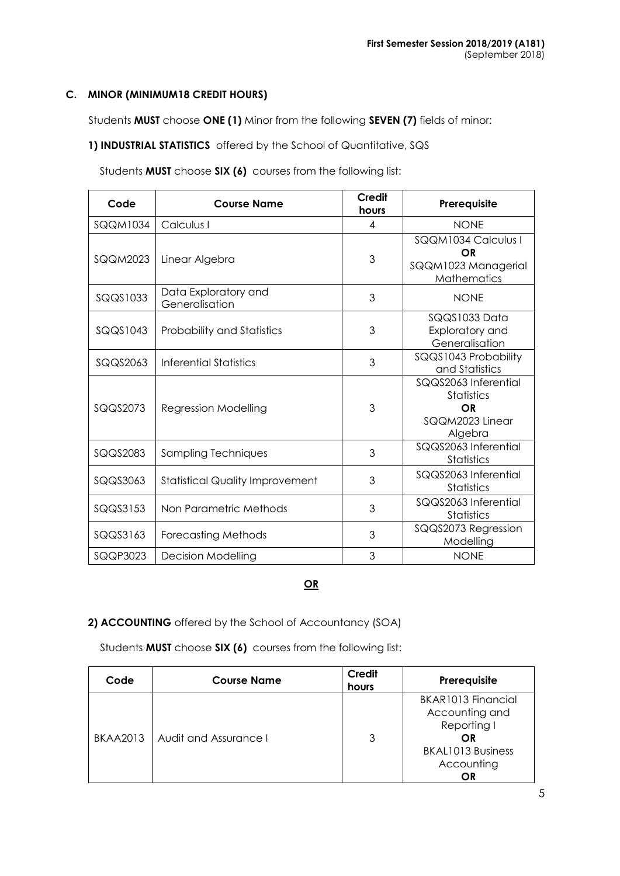### **C. MINOR (MINIMUM18 CREDIT HOURS)**

Students **MUST** choose **ONE (1)** Minor from the following **SEVEN (7)** fields of minor:

**1) INDUSTRIAL STATISTICS** offered by the School of Quantitative, SQS

Students **MUST** choose **SIX (6)** courses from the following list:

| Code            | <b>Course Name</b>                     | Credit<br>hours | Prerequisite                                                                  |
|-----------------|----------------------------------------|-----------------|-------------------------------------------------------------------------------|
| <b>SQQM1034</b> | Calculus I                             | 4               | <b>NONE</b>                                                                   |
| <b>SQQM2023</b> | Linear Algebra                         | 3               | SQQM1034 Calculus I<br>OR<br>SQQM1023 Managerial<br><b>Mathematics</b>        |
| SQQS1033        | Data Exploratory and<br>Generalisation | 3               | <b>NONE</b>                                                                   |
| SQQS1043        | <b>Probability and Statistics</b>      | 3               | SQQS1033 Data<br>Exploratory and<br>Generalisation                            |
| SQQS2063        | Inferential Statistics                 | 3               | SQQS1043 Probability<br>and Statistics                                        |
| SQQS2073        | Regression Modelling                   | 3               | SQQS2063 Inferential<br><b>Statistics</b><br>OR<br>SQQM2023 Linear<br>Algebra |
| SQQS2083        | Sampling Techniques                    | 3               | SQQS2063 Inferential<br><b>Statistics</b>                                     |
| SQQS3063        | <b>Statistical Quality Improvement</b> | 3               | SQQS2063 Inferential<br><b>Statistics</b>                                     |
| SQQS3153        | Non Parametric Methods                 | 3               | SQQS2063 Inferential<br><b>Statistics</b>                                     |
| SQQS3163        | <b>Forecasting Methods</b>             | 3               | SQQS2073 Regression<br>Modelling                                              |
| SQQP3023        | <b>Decision Modelling</b>              | 3               | <b>NONE</b>                                                                   |

### **OR**

## **2) ACCOUNTING** offered by the School of Accountancy (SOA)

Students **MUST** choose **SIX (6)** courses from the following list:

| Code            | <b>Course Name</b>    | <b>Credit</b><br>hours | Prerequisite                                                                                              |
|-----------------|-----------------------|------------------------|-----------------------------------------------------------------------------------------------------------|
| <b>BKAA2013</b> | Audit and Assurance I | 3                      | BKAR1013 Financial<br>Accounting and<br>Reporting I<br>OR<br><b>BKAL1013 Business</b><br>Accounting<br>ΟR |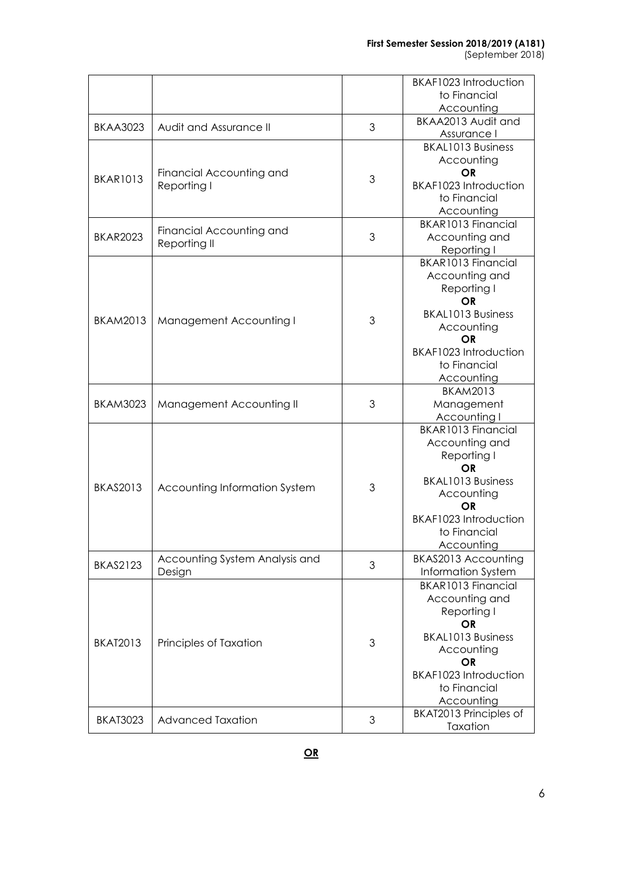#### **First Semester Session 2018/2019 (A181)**

(September 2018)

|                 |                                |   | BKAF1023 Introduction    |
|-----------------|--------------------------------|---|--------------------------|
|                 |                                |   | to Financial             |
|                 |                                |   | Accounting               |
|                 |                                |   | BKAA2013 Audit and       |
| <b>BKAA3023</b> | Audit and Assurance II         | 3 | Assurance I              |
|                 |                                |   | <b>BKAL1013 Business</b> |
|                 |                                |   | Accounting               |
|                 | Financial Accounting and       |   | <b>OR</b>                |
| <b>BKAR1013</b> | Reporting I                    | 3 | BKAF1023 Introduction    |
|                 |                                |   | to Financial             |
|                 |                                |   | Accounting               |
|                 |                                |   | BKAR1013 Financial       |
| <b>BKAR2023</b> | Financial Accounting and       | 3 | Accounting and           |
|                 | Reporting II                   |   | Reporting I              |
|                 |                                |   | BKAR1013 Financial       |
|                 |                                |   | Accounting and           |
|                 |                                |   | Reporting I              |
|                 |                                |   | <b>OR</b>                |
|                 |                                |   | <b>BKAL1013 Business</b> |
| <b>BKAM2013</b> | Management Accounting I        | 3 | Accounting               |
|                 |                                |   | <b>OR</b>                |
|                 |                                |   | BKAF1023 Introduction    |
|                 |                                |   | to Financial             |
|                 |                                |   | Accounting               |
|                 |                                |   | <b>BKAM2013</b>          |
| <b>BKAM3023</b> | Management Accounting II       | 3 | Management               |
|                 |                                |   | Accounting I             |
|                 |                                |   | BKAR1013 Financial       |
|                 |                                |   | Accounting and           |
|                 |                                |   | Reporting I              |
|                 |                                |   | OR.                      |
| <b>BKAS2013</b> | Accounting Information System  | 3 | <b>BKAL1013 Business</b> |
|                 |                                |   | Accounting               |
|                 |                                |   | OR                       |
|                 |                                |   | BKAF1023 Introduction    |
|                 |                                |   | to Financial             |
|                 |                                |   | Accounting               |
| <b>BKAS2123</b> | Accounting System Analysis and | 3 | BKAS2013 Accounting      |
|                 | Design                         |   | Information System       |
|                 |                                |   | BKAR1013 Financial       |
|                 |                                |   | Accounting and           |
|                 |                                |   | Reporting I              |
|                 |                                |   | <b>OR</b>                |
| <b>BKAT2013</b> | Principles of Taxation         | 3 | <b>BKAL1013 Business</b> |
|                 |                                |   | Accounting               |
|                 |                                |   | OR                       |
|                 |                                |   | BKAF1023 Introduction    |
|                 |                                |   | to Financial             |
|                 |                                |   | Accounting               |
| <b>BKAT3023</b> | <b>Advanced Taxation</b>       | 3 | BKAT2013 Principles of   |
|                 |                                |   | Taxation                 |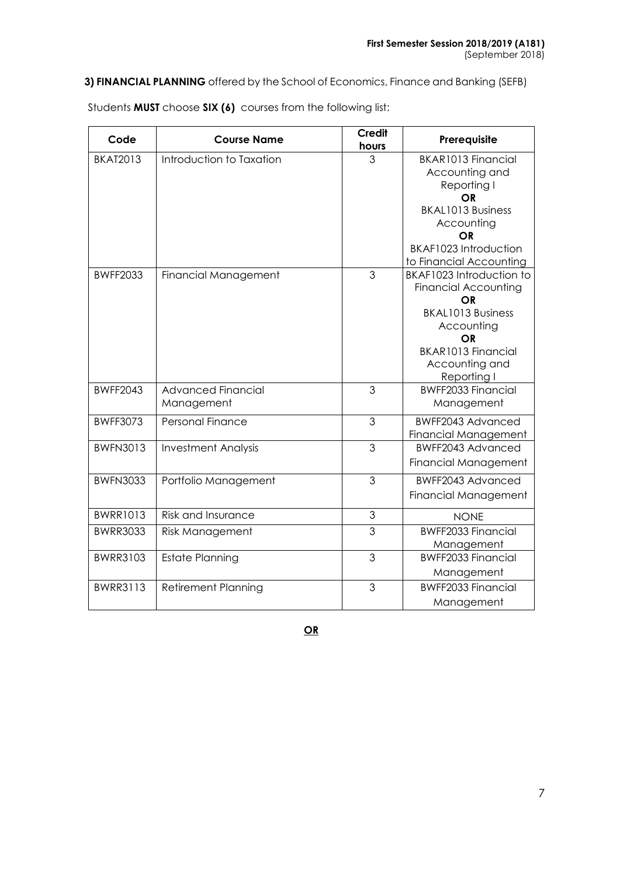**3) FINANCIAL PLANNING** offered by the School of Economics, Finance and Banking (SEFB)

| Code            | <b>Course Name</b>                      | <b>Credit</b><br>hours | Prerequisite                                                                                                                                                                                                  |
|-----------------|-----------------------------------------|------------------------|---------------------------------------------------------------------------------------------------------------------------------------------------------------------------------------------------------------|
| <b>BKAT2013</b> | Introduction to Taxation                | 3                      | BKAR1013 Financial<br>Accounting and<br>Reporting I<br>ΟR<br><b>BKAL1013 Business</b><br>Accounting<br>OR<br>BKAF1023 Introduction                                                                            |
| <b>BWFF2033</b> | Financial Management                    | 3                      | to Financial Accounting<br>BKAF1023 Introduction to<br><b>Financial Accounting</b><br>OR<br><b>BKAL1013 Business</b><br>Accounting<br><b>OR</b><br><b>BKAR1013 Financial</b><br>Accounting and<br>Reporting I |
| <b>BWFF2043</b> | <b>Advanced Financial</b><br>Management | 3                      | <b>BWFF2033 Financial</b><br>Management                                                                                                                                                                       |
| <b>BWFF3073</b> | <b>Personal Finance</b>                 | 3                      | <b>BWFF2043 Advanced</b><br><b>Financial Management</b>                                                                                                                                                       |
| <b>BWFN3013</b> | <b>Investment Analysis</b>              | 3                      | <b>BWFF2043 Advanced</b><br><b>Financial Management</b>                                                                                                                                                       |
| <b>BWFN3033</b> | Portfolio Management                    | 3                      | <b>BWFF2043 Advanced</b><br><b>Financial Management</b>                                                                                                                                                       |
| <b>BWRR1013</b> | <b>Risk and Insurance</b>               | 3                      | <b>NONE</b>                                                                                                                                                                                                   |
| <b>BWRR3033</b> | <b>Risk Management</b>                  | $\overline{3}$         | <b>BWFF2033 Financial</b><br>Management                                                                                                                                                                       |
| <b>BWRR3103</b> | <b>Estate Planning</b>                  | 3                      | <b>BWFF2033 Financial</b><br>Management                                                                                                                                                                       |
| <b>BWRR3113</b> | <b>Retirement Planning</b>              | 3                      | <b>BWFF2033 Financial</b><br>Management                                                                                                                                                                       |

Students **MUST** choose **SIX (6)** courses from the following list:

**OR**

7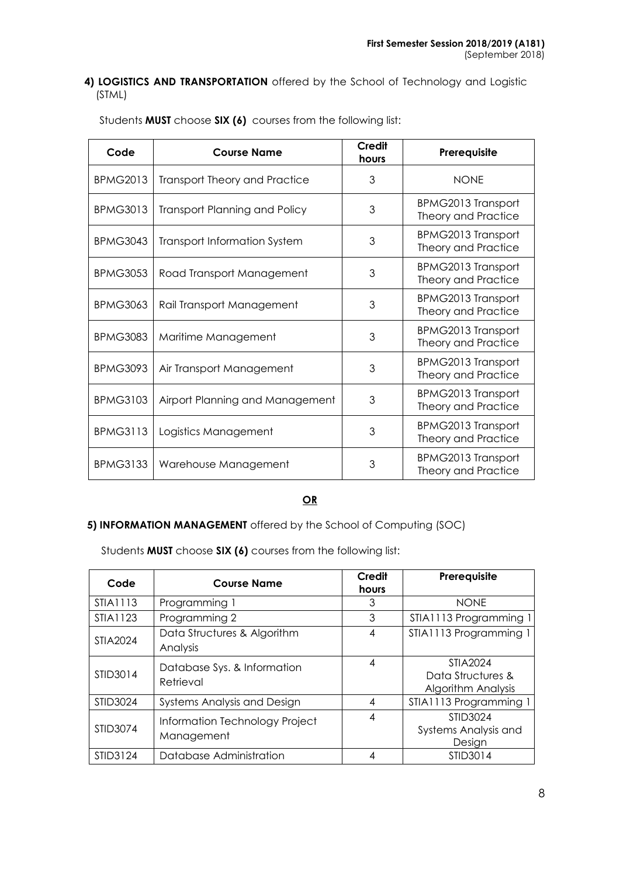### **4) LOGISTICS AND TRANSPORTATION** offered by the School of Technology and Logistic (STML)

| Code            | <b>Course Name</b>                   | Credit<br>hours | Prerequisite                                            |
|-----------------|--------------------------------------|-----------------|---------------------------------------------------------|
| <b>BPMG2013</b> | <b>Transport Theory and Practice</b> | 3               | <b>NONE</b>                                             |
| <b>BPMG3013</b> | <b>Transport Planning and Policy</b> | 3               | <b>BPMG2013 Transport</b><br>Theory and Practice        |
| <b>BPMG3043</b> | <b>Transport Information System</b>  | 3               | <b>BPMG2013 Transport</b><br>Theory and Practice        |
| <b>BPMG3053</b> | Road Transport Management            | 3               | <b>BPMG2013 Transport</b><br>Theory and Practice        |
| <b>BPMG3063</b> | Rail Transport Management            | 3               | <b>BPMG2013 Transport</b><br>Theory and Practice        |
| <b>BPMG3083</b> | Maritime Management                  | 3               | <b>BPMG2013 Transport</b><br>Theory and Practice        |
| <b>BPMG3093</b> | Air Transport Management             | 3               | <b>BPMG2013 Transport</b><br>Theory and Practice        |
| <b>BPMG3103</b> | Airport Planning and Management      | 3               | <b>BPMG2013 Transport</b><br>Theory and Practice        |
| <b>BPMG3113</b> | Logistics Management                 | 3               | <b>BPMG2013 Transport</b><br>Theory and Practice        |
| <b>BPMG3133</b> | Warehouse Management                 | 3               | <b>BPMG2013 Transport</b><br><b>Theory and Practice</b> |

Students **MUST** choose **SIX (6)** courses from the following list:

# **OR**

# **5) INFORMATION MANAGEMENT** offered by the School of Computing (SOC)

Students **MUST** choose **SIX (6)** courses from the following list:

| Code            | <b>Course Name</b>                           | Credit<br>hours | Prerequisite                                               |
|-----------------|----------------------------------------------|-----------------|------------------------------------------------------------|
| STIA1113        | Programming 1                                | 3               | <b>NONE</b>                                                |
| STIA1123        | Programming 2                                | 3               | STIA1113 Programming 1                                     |
| <b>STIA2024</b> | Data Structures & Algorithm<br>Analysis      | 4               | STIA1113 Programming 1                                     |
| STID3014        | Database Sys. & Information<br>Retrieval     | 4               | STIA2024<br>Data Structures &<br><b>Algorithm Analysis</b> |
| STID3024        | Systems Analysis and Design                  | 4               | STIA1113 Programming 1                                     |
| STID3074        | Information Technology Project<br>Management | 4               | <b>STID3024</b><br><b>Systems Analysis and</b><br>Design   |
| STID3124        | Database Administration                      | 4               | STID3014                                                   |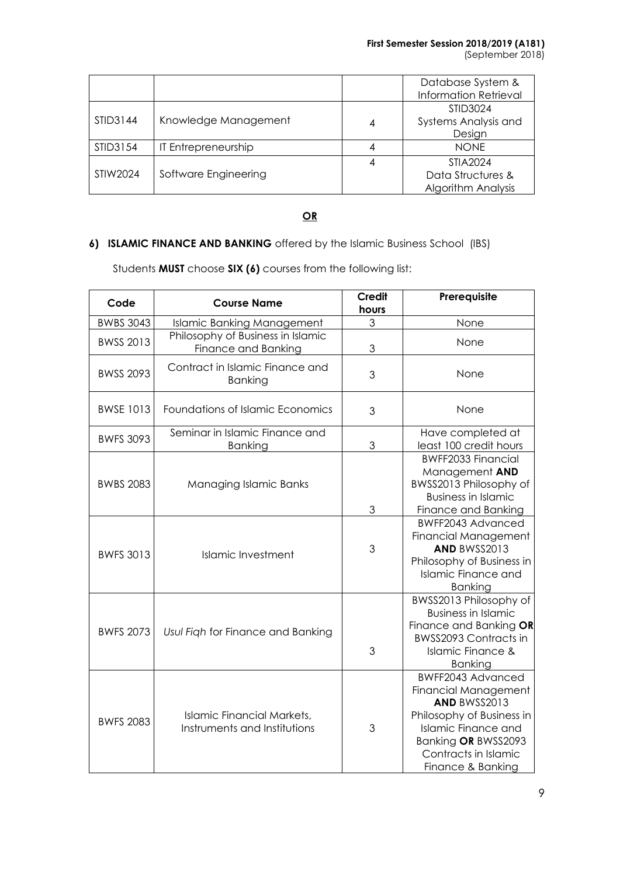|          |                      | Database System &<br><b>Information Retrieval</b> |
|----------|----------------------|---------------------------------------------------|
|          |                      | STID3024                                          |
| STID3144 | Knowledge Management | Systems Analysis and                              |
|          |                      | Design                                            |
| STID3154 | IT Entrepreneurship  | <b>NONE</b>                                       |
|          |                      | STIA2024                                          |
| STIW2024 | Software Engineering | Data Structures &                                 |
|          |                      | <b>Algorithm Analysis</b>                         |

# **OR**

# **6) ISLAMIC FINANCE AND BANKING** offered by the Islamic Business School (IBS)

Students **MUST** choose **SIX (6)** courses from the following list:

| Code             | <b>Course Name</b>                                                | <b>Credit</b><br>hours | Prerequisite                                                                                                                                                                             |
|------------------|-------------------------------------------------------------------|------------------------|------------------------------------------------------------------------------------------------------------------------------------------------------------------------------------------|
| <b>BWBS 3043</b> | <b>Islamic Banking Management</b>                                 | 3                      | None                                                                                                                                                                                     |
| <b>BWSS 2013</b> | Philosophy of Business in Islamic<br>Finance and Banking          | 3                      | None                                                                                                                                                                                     |
| <b>BWSS 2093</b> | Contract in Islamic Finance and<br><b>Banking</b>                 | 3                      | None                                                                                                                                                                                     |
| <b>BWSE 1013</b> | Foundations of Islamic Economics                                  | 3                      | None                                                                                                                                                                                     |
| <b>BWFS 3093</b> | Seminar in Islamic Finance and<br><b>Banking</b>                  | 3                      | Have completed at<br>least 100 credit hours                                                                                                                                              |
| <b>BWBS 2083</b> | Managing Islamic Banks                                            | 3                      | <b>BWFF2033 Financial</b><br>Management AND<br>BWSS2013 Philosophy of<br><b>Business in Islamic</b><br>Finance and Banking                                                               |
| <b>BWFS 3013</b> | <b>Islamic Investment</b>                                         | 3                      | BWFF2043 Advanced<br><b>Financial Management</b><br>AND BWSS2013<br>Philosophy of Business in<br><b>Islamic Finance and</b><br><b>Banking</b>                                            |
| <b>BWFS 2073</b> | Usul Figh for Finance and Banking                                 | 3                      | BWSS2013 Philosophy of<br><b>Business in Islamic</b><br>Finance and Banking OR<br><b>BWSS2093 Contracts in</b><br><b>Islamic Finance &amp;</b><br><b>Banking</b>                         |
| <b>BWFS 2083</b> | <b>Islamic Financial Markets,</b><br>Instruments and Institutions | 3                      | BWFF2043 Advanced<br>Financial Management<br>AND BWSS2013<br>Philosophy of Business in<br><b>Islamic Finance and</b><br>Banking OR BWSS2093<br>Contracts in Islamic<br>Finance & Banking |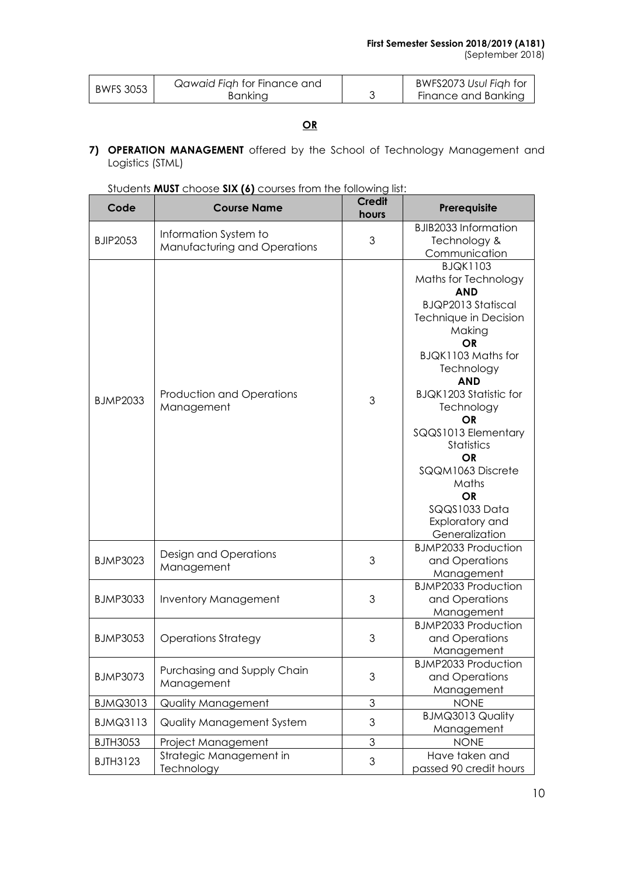(September 2018)

| <b>BWFS 3053</b> | Qawaid Figh for Finance and | BWFS2073 Usul Figh for |
|------------------|-----------------------------|------------------------|
|                  | <b>Banking</b>              | Finance and Banking    |

# **OR**

**7) OPERATION MANAGEMENT** offered by the School of Technology Management and Logistics (STML)

| Code            | <b>Course Name</b>                                    | <b>Credit</b><br>hours | Prerequisite                                                                                                                                                                                                                                                                                                                                                                          |  |
|-----------------|-------------------------------------------------------|------------------------|---------------------------------------------------------------------------------------------------------------------------------------------------------------------------------------------------------------------------------------------------------------------------------------------------------------------------------------------------------------------------------------|--|
| <b>BJIP2053</b> | Information System to<br>Manufacturing and Operations | 3                      | <b>BJIB2033 Information</b><br>Technology &<br>Communication                                                                                                                                                                                                                                                                                                                          |  |
| <b>BJMP2033</b> | <b>Production and Operations</b><br>Management        | 3                      | <b>BJQK1103</b><br>Maths for Technology<br><b>AND</b><br><b>BJQP2013 Statiscal</b><br>Technique in Decision<br>Making<br><b>OR</b><br>BJQK1103 Maths for<br>Technology<br><b>AND</b><br><b>BJQK1203 Statistic for</b><br>Technology<br>OR<br>SQQS1013 Elementary<br><b>Statistics</b><br>OR<br>SQQM1063 Discrete<br>Maths<br>OR<br>SQQS1033 Data<br>Exploratory and<br>Generalization |  |
| <b>BJMP3023</b> | Design and Operations<br>Management                   | 3                      | <b>BJMP2033 Production</b><br>and Operations<br>Management                                                                                                                                                                                                                                                                                                                            |  |
| <b>BJMP3033</b> | <b>Inventory Management</b>                           | 3                      | <b>BJMP2033 Production</b><br>and Operations<br>Management                                                                                                                                                                                                                                                                                                                            |  |
| <b>BJMP3053</b> | <b>Operations Strategy</b>                            | 3                      | <b>BJMP2033 Production</b><br>and Operations<br>Management                                                                                                                                                                                                                                                                                                                            |  |
| <b>BJMP3073</b> | Purchasing and Supply Chain<br>Management             | 3                      | <b>BJMP2033 Production</b><br>and Operations<br>Management                                                                                                                                                                                                                                                                                                                            |  |
| <b>BJMQ3013</b> | Quality Management                                    | $\mathfrak 3$          | <b>NONE</b>                                                                                                                                                                                                                                                                                                                                                                           |  |
| <b>BJMQ3113</b> | Quality Management System                             | 3                      | <b>BJMQ3013 Quality</b><br>Management                                                                                                                                                                                                                                                                                                                                                 |  |
| <b>BJTH3053</b> | Project Management                                    | 3                      | <b>NONE</b>                                                                                                                                                                                                                                                                                                                                                                           |  |
| <b>BJTH3123</b> | Strategic Management in<br>Technology                 | 3                      | Have taken and<br>passed 90 credit hours                                                                                                                                                                                                                                                                                                                                              |  |

|  |  | Students MUST choose SIX (6) courses from the following list: |
|--|--|---------------------------------------------------------------|
|--|--|---------------------------------------------------------------|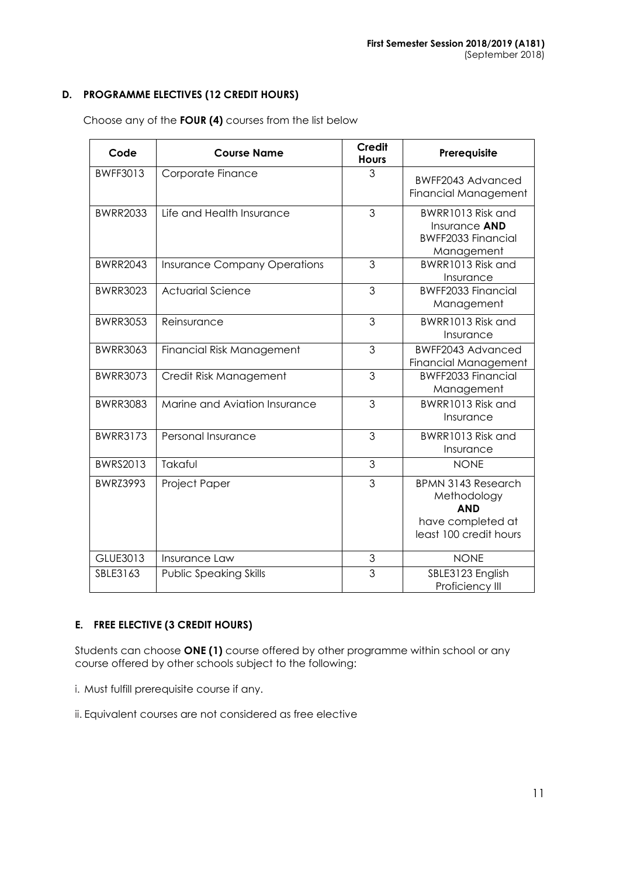## **D. PROGRAMME ELECTIVES (12 CREDIT HOURS)**

| Code            | <b>Course Name</b>                  | <b>Credit</b><br><b>Hours</b> | Prerequisite                                                                                          |  |
|-----------------|-------------------------------------|-------------------------------|-------------------------------------------------------------------------------------------------------|--|
| <b>BWFF3013</b> | Corporate Finance                   | 3                             | BWFF2043 Advanced<br><b>Financial Management</b>                                                      |  |
| <b>BWRR2033</b> | Life and Health Insurance           | 3                             | BWRR1013 Risk and<br>Insurance AND<br><b>BWFF2033 Financial</b><br>Management                         |  |
| <b>BWRR2043</b> | <b>Insurance Company Operations</b> | 3                             | BWRR1013 Risk and<br>Insurance                                                                        |  |
| <b>BWRR3023</b> | <b>Actuarial Science</b>            | 3                             | <b>BWFF2033 Financial</b><br>Management                                                               |  |
| <b>BWRR3053</b> | Reinsurance                         | 3                             | BWRR1013 Risk and<br>Insurance                                                                        |  |
| <b>BWRR3063</b> | <b>Financial Risk Management</b>    | 3                             | BWFF2043 Advanced<br><b>Financial Management</b>                                                      |  |
| <b>BWRR3073</b> | Credit Risk Management              | 3                             | <b>BWFF2033 Financial</b><br>Management                                                               |  |
| <b>BWRR3083</b> | Marine and Aviation Insurance       | 3                             | BWRR1013 Risk and<br>Insurance                                                                        |  |
| <b>BWRR3173</b> | Personal Insurance                  | 3                             | BWRR1013 Risk and<br>Insurance                                                                        |  |
| BWRS2013        | Takaful                             | 3                             | <b>NONE</b>                                                                                           |  |
| <b>BWRZ3993</b> | Project Paper                       | 3                             | <b>BPMN 3143 Research</b><br>Methodology<br><b>AND</b><br>have completed at<br>least 100 credit hours |  |
| GLUE3013        | Insurance Law                       | 3                             | <b>NONE</b>                                                                                           |  |
| SBLE3163        | <b>Public Speaking Skills</b>       | 3                             | SBLE3123 English<br>Proficiency III                                                                   |  |

Choose any of the **FOUR (4)** courses from the list below

# **E. FREE ELECTIVE (3 CREDIT HOURS)**

Students can choose **ONE (1)** course offered by other programme within school or any course offered by other schools subject to the following:

i. Must fulfill prerequisite course if any.

ii. Equivalent courses are not considered as free elective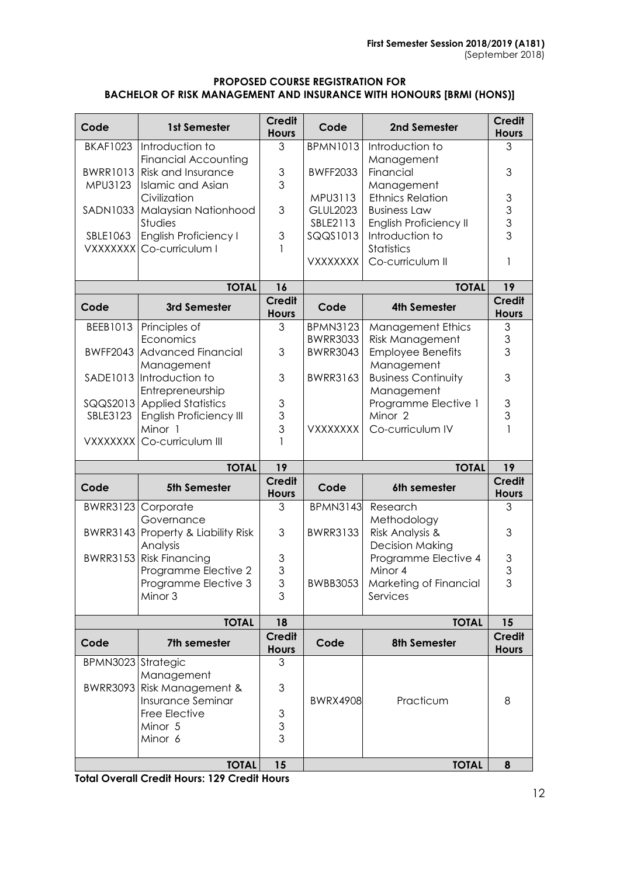#### **PROPOSED COURSE REGISTRATION FOR BACHELOR OF RISK MANAGEMENT AND INSURANCE WITH HONOURS [BRMI (HONS)]**

| Code               | 1st Semester                                             | <b>Credit</b><br><b>Hours</b> | Code            | 2nd Semester                              | <b>Credit</b><br><b>Hours</b>                              |
|--------------------|----------------------------------------------------------|-------------------------------|-----------------|-------------------------------------------|------------------------------------------------------------|
| <b>BKAF1023</b>    | Introduction to<br><b>Financial Accounting</b>           | 3                             | <b>BPMN1013</b> | Introduction to<br>Management             | 3                                                          |
| <b>BWRR1013</b>    | <b>Risk and Insurance</b>                                | 3                             | <b>BWFF2033</b> | Financial                                 | 3                                                          |
| MPU3123            | <b>Islamic and Asian</b>                                 | 3                             |                 | Management                                |                                                            |
|                    | Civilization                                             |                               | MPU3113         | <b>Ethnics Relation</b>                   | $\mathfrak{S}% _{M_{1},M_{2}}^{\alpha,\beta}(\varepsilon)$ |
| SADN1033           | Malaysian Nationhood                                     | 3                             | <b>GLUL2023</b> | <b>Business Law</b>                       | $\begin{array}{c} 3 \\ 3 \end{array}$                      |
|                    | Studies                                                  | 3                             | SBLE2113        | English Proficiency II<br>Introduction to |                                                            |
| SBLE1063           | <b>English Proficiency I</b><br>VXXXXXXI Co-curriculum I | 1                             | SQQS1013        | <b>Statistics</b>                         |                                                            |
|                    |                                                          |                               | <b>VXXXXXXX</b> | Co-curriculum II                          | 1                                                          |
|                    | <b>TOTAL</b>                                             | 16                            |                 | <b>TOTAL</b>                              | 19                                                         |
| Code               | 3rd Semester                                             | <b>Credit</b><br><b>Hours</b> | Code            | <b>4th Semester</b>                       | <b>Credit</b><br><b>Hours</b>                              |
| BEEB1013           | Principles of                                            | 3                             | <b>BPMN3123</b> | <b>Management Ethics</b>                  | $\ensuremath{\mathsf{3}}$                                  |
|                    | Economics                                                |                               | <b>BWRR3033</b> | <b>Risk Management</b>                    | $\ensuremath{\mathsf{3}}$                                  |
|                    | <b>BWFF2043 Advanced Financial</b>                       | 3                             | <b>BWRR3043</b> | <b>Employee Benefits</b>                  | 3                                                          |
|                    | Management<br>SADE1013 Introduction to                   | 3                             | <b>BWRR3163</b> | Management<br><b>Business Continuity</b>  | 3                                                          |
|                    | Entrepreneurship                                         |                               |                 | Management                                |                                                            |
|                    | SQQS2013 Applied Statistics                              | $\ensuremath{\mathsf{3}}$     |                 | Programme Elective 1                      | $\ensuremath{\mathsf{3}}$                                  |
| SBLE3123           | <b>English Proficiency III</b>                           | 3                             |                 | Minor <sub>2</sub>                        | 3                                                          |
|                    | Minor 1                                                  | 3                             | <b>VXXXXXXX</b> | Co-curriculum IV                          | $\mathbf{1}$                                               |
| <b>VXXXXXXX</b>    | Co-curriculum III                                        | $\mathbf{1}$                  |                 |                                           |                                                            |
|                    | <b>TOTAL</b>                                             | 19                            | <b>TOTAL</b>    |                                           | 19                                                         |
| Code               | <b>5th Semester</b>                                      | <b>Credit</b><br><b>Hours</b> | Code            | 6th semester                              | <b>Credit</b><br><b>Hours</b>                              |
| <b>BWRR3123</b>    | Corporate<br>Governance                                  | 3                             | <b>BPMN3143</b> | Research<br>Methodology                   | 3                                                          |
|                    | BWRR3143 Property & Liability Risk<br>Analysis           | 3                             | <b>BWRR3133</b> | Risk Analysis &<br><b>Decision Making</b> | 3                                                          |
|                    | BWRR3153 Risk Financing                                  | 3                             |                 | Programme Elective 4                      |                                                            |
|                    | Programme Elective 2                                     | 3                             |                 | Minor 4                                   | $\frac{3}{3}$                                              |
|                    | Programme Elective 3                                     | 3                             | <b>BWBB3053</b> | Marketing of Financial                    | 3                                                          |
|                    | Minor 3                                                  | 3                             |                 | Services                                  |                                                            |
|                    | <b>TOTAL</b>                                             | 18                            |                 | <b>TOTAL</b>                              | 15                                                         |
| Code               | 7th semester                                             | <b>Credit</b><br><b>Hours</b> | Code            | <b>8th Semester</b>                       | <b>Credit</b><br><b>Hours</b>                              |
| BPMN3023 Strategic |                                                          | 3                             |                 |                                           |                                                            |
|                    | Management                                               |                               |                 |                                           |                                                            |
| <b>BWRR3093</b>    | Risk Management &<br>Insurance Seminar                   | 3                             | <b>BWRX4908</b> | Practicum                                 | 8                                                          |
|                    | Free Elective                                            | 3                             |                 |                                           |                                                            |
|                    | Minor 5                                                  | 3                             |                 |                                           |                                                            |
|                    |                                                          |                               |                 |                                           |                                                            |
|                    | Minor 6                                                  | 3                             |                 |                                           |                                                            |
|                    | <b>TOTAL</b>                                             | 15                            |                 | <b>TOTAL</b>                              | 8                                                          |

**Total Overall Credit Hours: 129 Credit Hours**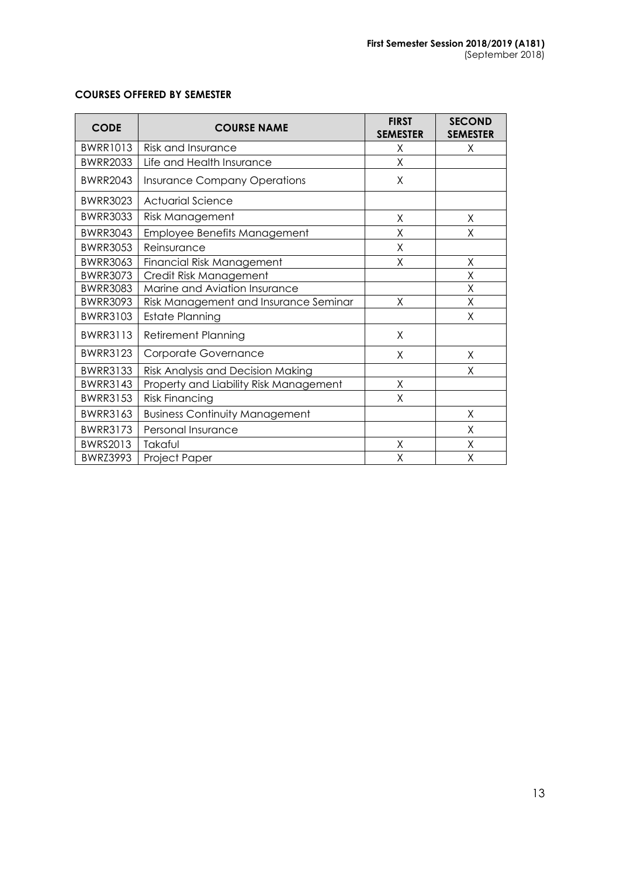| <b>CODE</b>     | <b>COURSE NAME</b>                     | <b>FIRST</b><br><b>SEMESTER</b> | <b>SECOND</b><br><b>SEMESTER</b> |
|-----------------|----------------------------------------|---------------------------------|----------------------------------|
| <b>BWRR1013</b> | Risk and Insurance                     | Χ                               | Χ                                |
| <b>BWRR2033</b> | Life and Health Insurance              | X                               |                                  |
| <b>BWRR2043</b> | <b>Insurance Company Operations</b>    | X                               |                                  |
| <b>BWRR3023</b> | <b>Actuarial Science</b>               |                                 |                                  |
| <b>BWRR3033</b> | Risk Management                        | X                               | X                                |
| <b>BWRR3043</b> | Employee Benefits Management           | X                               | Χ                                |
| <b>BWRR3053</b> | Reinsurance                            | X                               |                                  |
| <b>BWRR3063</b> | Financial Risk Management              | Χ                               | Χ                                |
| <b>BWRR3073</b> | Credit Risk Management                 |                                 | Χ                                |
| <b>BWRR3083</b> | Marine and Aviation Insurance          |                                 | X                                |
| <b>BWRR3093</b> | Risk Management and Insurance Seminar  | Χ                               | Χ                                |
| <b>BWRR3103</b> | <b>Estate Planning</b>                 |                                 | Χ                                |
| <b>BWRR3113</b> | <b>Retirement Planning</b>             | X                               |                                  |
| <b>BWRR3123</b> | Corporate Governance                   | X                               | X                                |
| <b>BWRR3133</b> | Risk Analysis and Decision Making      |                                 | X                                |
| <b>BWRR3143</b> | Property and Liability Risk Management | Χ                               |                                  |
| <b>BWRR3153</b> | <b>Risk Financing</b>                  | X                               |                                  |
| <b>BWRR3163</b> | <b>Business Continuity Management</b>  |                                 | X                                |
| <b>BWRR3173</b> | Personal Insurance                     |                                 | X                                |
| <b>BWRS2013</b> | Takaful                                | Χ                               | Χ                                |
| <b>BWRZ3993</b> | Project Paper                          | Χ                               | Χ                                |

### **COURSES OFFERED BY SEMESTER**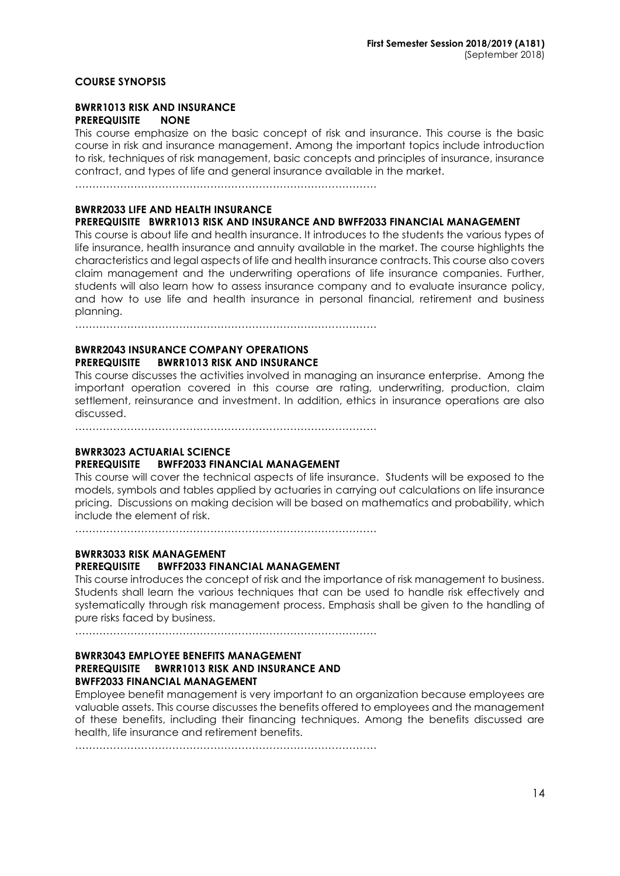#### **COURSE SYNOPSIS**

### **BWRR1013 RISK AND INSURANCE PREREQUISITE NONE**

This course emphasize on the basic concept of risk and insurance. This course is the basic course in risk and insurance management. Among the important topics include introduction to risk, techniques of risk management, basic concepts and principles of insurance, insurance contract, and types of life and general insurance available in the market.

……………………………………………………………………………

#### **BWRR2033 LIFE AND HEALTH INSURANCE**

#### **PREREQUISITE BWRR1013 RISK AND INSURANCE AND BWFF2033 FINANCIAL MANAGEMENT**

This course is about life and health insurance. It introduces to the students the various types of life insurance, health insurance and annuity available in the market. The course highlights the characteristics and legal aspects of life and health insurance contracts. This course also covers claim management and the underwriting operations of life insurance companies. Further, students will also learn how to assess insurance company and to evaluate insurance policy, and how to use life and health insurance in personal financial, retirement and business planning.

……………………………………………………………………………

#### **BWRR2043 INSURANCE COMPANY OPERATIONS PREREQUISITE BWRR1013 RISK AND INSURANCE**

This course discusses the activities involved in managing an insurance enterprise. Among the important operation covered in this course are rating, underwriting, production, claim settlement, reinsurance and investment. In addition, ethics in insurance operations are also discussed.

……………………………………………………………………………

### **BWRR3023 ACTUARIAL SCIENCE**

#### **PREREQUISITE BWFF2033 FINANCIAL MANAGEMENT**

This course will cover the technical aspects of life insurance. Students will be exposed to the models, symbols and tables applied by actuaries in carrying out calculations on life insurance pricing. Discussions on making decision will be based on mathematics and probability, which include the element of risk.

……………………………………………………………………………

# **BWRR3033 RISK MANAGEMENT PREREQUISITE BWFF2033 FINANCIAL MANAGEMENT**

This course introduces the concept of risk and the importance of risk management to business. Students shall learn the various techniques that can be used to handle risk effectively and systematically through risk management process. Emphasis shall be given to the handling of pure risks faced by business.

……………………………………………………………………………

#### **BWRR3043 EMPLOYEE BENEFITS MANAGEMENT PREREQUISITE BWRR1013 RISK AND INSURANCE AND BWFF2033 FINANCIAL MANAGEMENT**

Employee benefit management is very important to an organization because employees are valuable assets. This course discusses the benefits offered to employees and the management of these benefits, including their financing techniques. Among the benefits discussed are health, life insurance and retirement benefits.

……………………………………………………………………………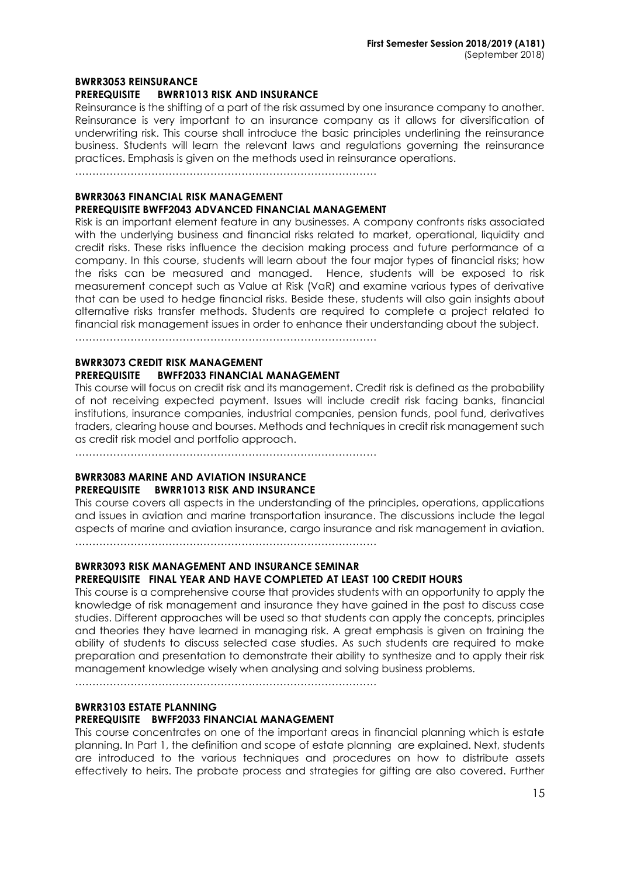#### **BWRR3053 REINSURANCE**

#### **PREREQUISITE BWRR1013 RISK AND INSURANCE**

Reinsurance is the shifting of a part of the risk assumed by one insurance company to another. Reinsurance is very important to an insurance company as it allows for diversification of underwriting risk. This course shall introduce the basic principles underlining the reinsurance business. Students will learn the relevant laws and regulations governing the reinsurance practices. Emphasis is given on the methods used in reinsurance operations.

……………………………………………………………………………

### **BWRR3063 FINANCIAL RISK MANAGEMENT PREREQUISITE BWFF2043 ADVANCED FINANCIAL MANAGEMENT**

Risk is an important element feature in any businesses. A company confronts risks associated with the underlying business and financial risks related to market, operational, liquidity and credit risks. These risks influence the decision making process and future performance of a company. In this course, students will learn about the four major types of financial risks; how the risks can be measured and managed. Hence, students will be exposed to risk measurement concept such as Value at Risk (VaR) and examine various types of derivative that can be used to hedge financial risks. Beside these, students will also gain insights about alternative risks transfer methods. Students are required to complete a project related to financial risk management issues in order to enhance their understanding about the subject.

……………………………………………………………………………

#### **BWRR3073 CREDIT RISK MANAGEMENT PREREQUISITE BWFF2033 FINANCIAL MANAGEMENT**

This course will focus on credit risk and its management. Credit risk is defined as the probability of not receiving expected payment. Issues will include credit risk facing banks, financial institutions, insurance companies, industrial companies, pension funds, pool fund, derivatives traders, clearing house and bourses. Methods and techniques in credit risk management such as credit risk model and portfolio approach.

……………………………………………………………………………

### **BWRR3083 MARINE AND AVIATION INSURANCE PREREQUISITE BWRR1013 RISK AND INSURANCE**

This course covers all aspects in the understanding of the principles, operations, applications and issues in aviation and marine transportation insurance. The discussions include the legal aspects of marine and aviation insurance, cargo insurance and risk management in aviation.

……………………………………………………………………………

# **BWRR3093 RISK MANAGEMENT AND INSURANCE SEMINAR**

### **PREREQUISITE FINAL YEAR AND HAVE COMPLETED AT LEAST 100 CREDIT HOURS**

This course is a comprehensive course that provides students with an opportunity to apply the knowledge of risk management and insurance they have gained in the past to discuss case studies. Different approaches will be used so that students can apply the concepts, principles and theories they have learned in managing risk. A great emphasis is given on training the ability of students to discuss selected case studies. As such students are required to make preparation and presentation to demonstrate their ability to synthesize and to apply their risk management knowledge wisely when analysing and solving business problems.

……………………………………………………………………………

#### **BWRR3103 ESTATE PLANNING PREREQUISITE BWFF2033 FINANCIAL MANAGEMENT**

### This course concentrates on one of the important areas in financial planning which is estate planning. In Part 1, the definition and scope of estate planning are explained. Next, students are introduced to the various techniques and procedures on how to distribute assets effectively to heirs. The probate process and strategies for gifting are also covered. Further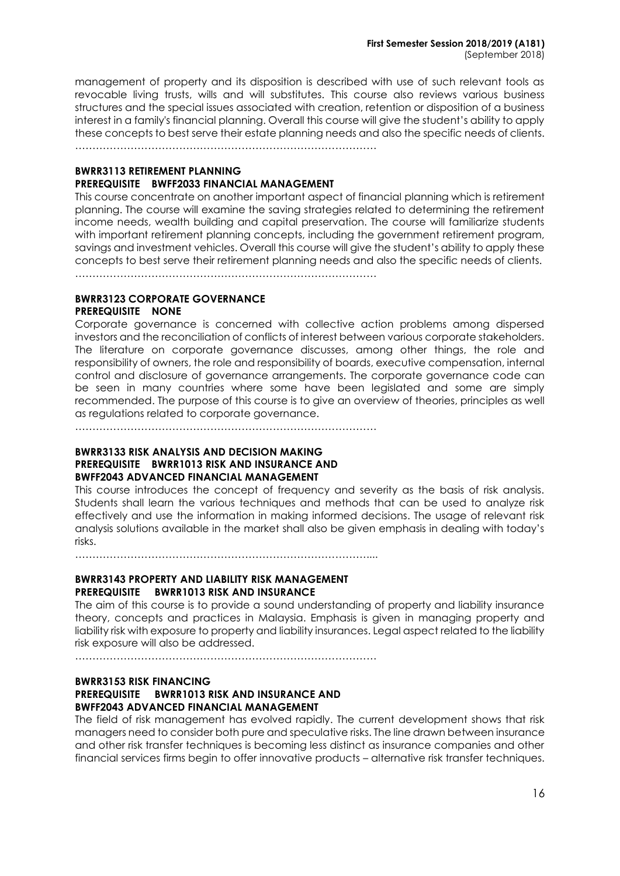management of property and its disposition is described with use of such relevant tools as revocable living trusts, wills and will substitutes. This course also reviews various business structures and the special issues associated with creation, retention or disposition of a business interest in a family's financial planning. Overall this course will give the student's ability to apply these concepts to best serve their estate planning needs and also the specific needs of clients.

……………………………………………………………………………

### **BWRR3113 RETIREMENT PLANNING PREREQUISITE BWFF2033 FINANCIAL MANAGEMENT**

This course concentrate on another important aspect of financial planning which is retirement planning. The course will examine the saving strategies related to determining the retirement income needs, wealth building and capital preservation. The course will familiarize students with important retirement planning concepts, including the government retirement program, savings and investment vehicles. Overall this course will give the student's ability to apply these concepts to best serve their retirement planning needs and also the specific needs of clients.

……………………………………………………………………………

#### **BWRR3123 CORPORATE GOVERNANCE PREREQUISITE NONE**

Corporate governance is concerned with collective action problems among dispersed investors and the reconciliation of conflicts of interest between various corporate stakeholders. The literature on corporate governance discusses, among other things, the role and responsibility of owners, the role and responsibility of boards, executive compensation, internal control and disclosure of governance arrangements. The corporate governance code can be seen in many countries where some have been legislated and some are simply recommended. The purpose of this course is to give an overview of theories, principles as well as regulations related to corporate governance.

……………………………………………………………………………

### **BWRR3133 RISK ANALYSIS AND DECISION MAKING PREREQUISITE BWRR1013 RISK AND INSURANCE AND BWFF2043 ADVANCED FINANCIAL MANAGEMENT**

This course introduces the concept of frequency and severity as the basis of risk analysis. Students shall learn the various techniques and methods that can be used to analyze risk effectively and use the information in making informed decisions. The usage of relevant risk analysis solutions available in the market shall also be given emphasis in dealing with today's risks.

…………………………………………………………………………....

#### **BWRR3143 PROPERTY AND LIABILITY RISK MANAGEMENT PREREQUISITE BWRR1013 RISK AND INSURANCE**

The aim of this course is to provide a sound understanding of property and liability insurance theory, concepts and practices in Malaysia. Emphasis is given in managing property and liability risk with exposure to property and liability insurances. Legal aspect related to the liability risk exposure will also be addressed.

……………………………………………………………………………

### **BWRR3153 RISK FINANCING PREREQUISITE BWRR1013 RISK AND INSURANCE AND BWFF2043 ADVANCED FINANCIAL MANAGEMENT**

The field of risk management has evolved rapidly. The current development shows that risk managers need to consider both pure and speculative risks. The line drawn between insurance and other risk transfer techniques is becoming less distinct as insurance companies and other financial services firms begin to offer innovative products – alternative risk transfer techniques.